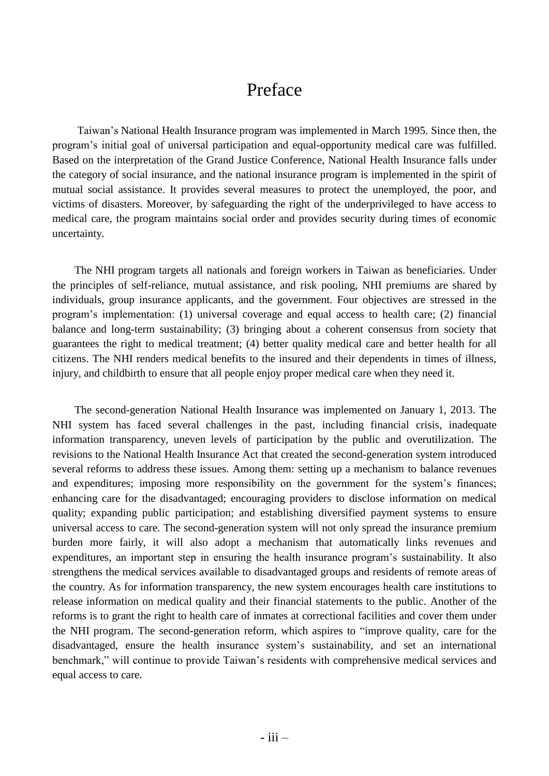## Preface

Taiwan's National Health Insurance program was implemented in March 1995. Since then, the program's initial goal of universal participation and equal-opportunity medical care was fulfilled. Based on the interpretation of the Grand Justice Conference, National Health Insurance falls under the category of social insurance, and the national insurance program is implemented in the spirit of mutual social assistance. It provides several measures to protect the unemployed, the poor, and victims of disasters. Moreover, by safeguarding the right of the underprivileged to have access to medical care, the program maintains social order and provides security during times of economic uncertainty.

The NHI program targets all nationals and foreign workers in Taiwan as beneficiaries. Under the principles of self-reliance, mutual assistance, and risk pooling, NHI premiums are shared by individuals, group insurance applicants, and the government. Four objectives are stressed in the program's implementation: (1) universal coverage and equal access to health care; (2) financial balance and long-term sustainability; (3) bringing about a coherent consensus from society that guarantees the right to medical treatment; (4) better quality medical care and better health for all citizens. The NHI renders medical benefits to the insured and their dependents in times of illness, injury, and childbirth to ensure that all people enjoy proper medical care when they need it.

The second-generation National Health Insurance was implemented on January 1, 2013. The NHI system has faced several challenges in the past, including financial crisis, inadequate information transparency, uneven levels of participation by the public and overutilization. The revisions to the National Health Insurance Act that created the second-generation system introduced several reforms to address these issues. Among them: setting up a mechanism to balance revenues and expenditures; imposing more responsibility on the government for the system's finances; enhancing care for the disadvantaged; encouraging providers to disclose information on medical quality; expanding public participation; and establishing diversified payment systems to ensure universal access to care. The second-generation system will not only spread the insurance premium burden more fairly, it will also adopt a mechanism that automatically links revenues and expenditures, an important step in ensuring the health insurance program's sustainability. It also strengthens the medical services available to disadvantaged groups and residents of remote areas of the country. As for information transparency, the new system encourages health care institutions to release information on medical quality and their financial statements to the public. Another of the reforms is to grant the right to health care of inmates at correctional facilities and cover them under the NHI program. The second-generation reform, which aspires to "improve quality, care for the disadvantaged, ensure the health insurance system's sustainability, and set an international benchmark," will continue to provide Taiwan's residents with comprehensive medical services and equal access to care.